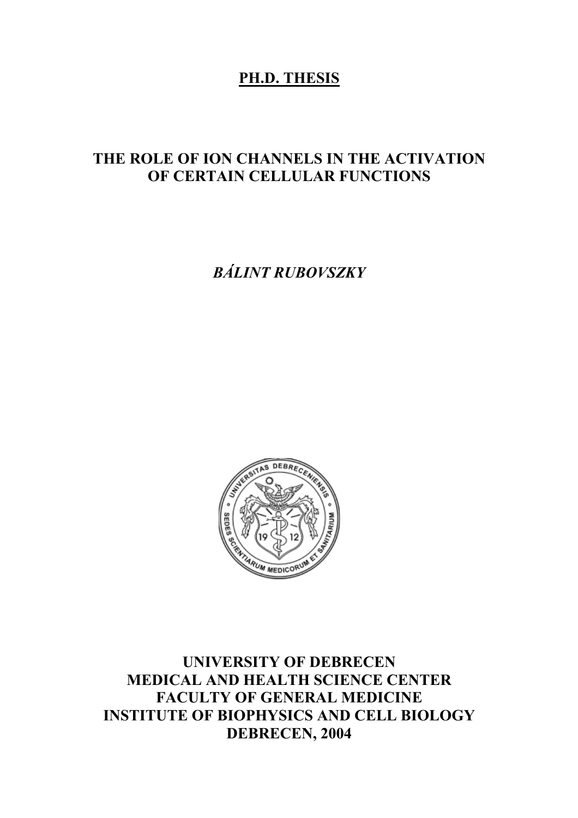## **PH.D. THESIS**

# **THE ROLE OF ION CHANNELS IN THE ACTIVATION OF CERTAIN CELLULAR FUNCTIONS**

*BÁLINT RUBOVSZKY* 



**UNIVERSITY OF DEBRECEN MEDICAL AND HEALTH SCIENCE CENTER FACULTY OF GENERAL MEDICINE INSTITUTE OF BIOPHYSICS AND CELL BIOLOGY DEBRECEN, 2004**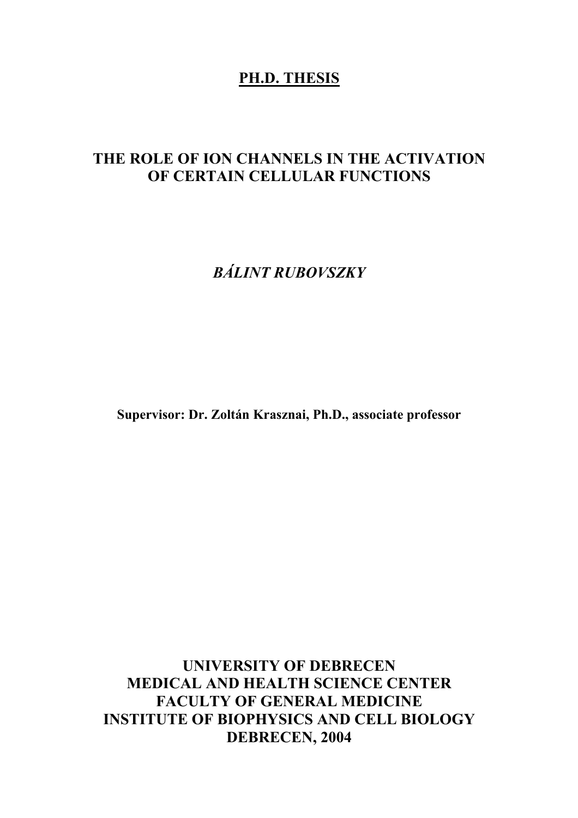## **PH.D. THESIS**

# **THE ROLE OF ION CHANNELS IN THE ACTIVATION OF CERTAIN CELLULAR FUNCTIONS**

*BÁLINT RUBOVSZKY* 

**Supervisor: Dr. Zoltán Krasznai, Ph.D., associate professor** 

**UNIVERSITY OF DEBRECEN MEDICAL AND HEALTH SCIENCE CENTER FACULTY OF GENERAL MEDICINE INSTITUTE OF BIOPHYSICS AND CELL BIOLOGY DEBRECEN, 2004**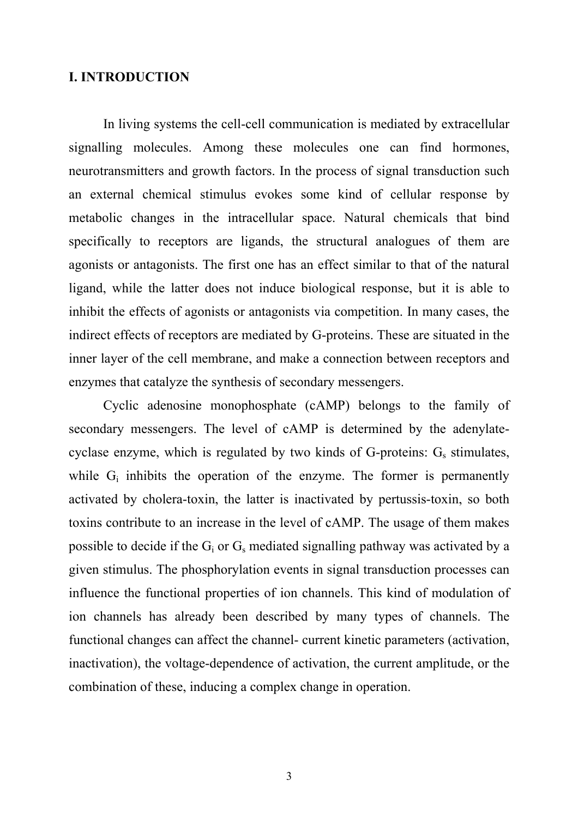#### **I. INTRODUCTION**

In living systems the cell-cell communication is mediated by extracellular signalling molecules. Among these molecules one can find hormones, neurotransmitters and growth factors. In the process of signal transduction such an external chemical stimulus evokes some kind of cellular response by metabolic changes in the intracellular space. Natural chemicals that bind specifically to receptors are ligands, the structural analogues of them are agonists or antagonists. The first one has an effect similar to that of the natural ligand, while the latter does not induce biological response, but it is able to inhibit the effects of agonists or antagonists via competition. In many cases, the indirect effects of receptors are mediated by G-proteins. These are situated in the inner layer of the cell membrane, and make a connection between receptors and enzymes that catalyze the synthesis of secondary messengers.

 Cyclic adenosine monophosphate (cAMP) belongs to the family of secondary messengers. The level of cAMP is determined by the adenylatecyclase enzyme, which is regulated by two kinds of G-proteins:  $G_s$  stimulates, while  $G_i$  inhibits the operation of the enzyme. The former is permanently activated by cholera-toxin, the latter is inactivated by pertussis-toxin, so both toxins contribute to an increase in the level of cAMP. The usage of them makes possible to decide if the  $G_i$  or  $G_s$  mediated signalling pathway was activated by a given stimulus. The phosphorylation events in signal transduction processes can influence the functional properties of ion channels. This kind of modulation of ion channels has already been described by many types of channels. The functional changes can affect the channel- current kinetic parameters (activation, inactivation), the voltage-dependence of activation, the current amplitude, or the combination of these, inducing a complex change in operation.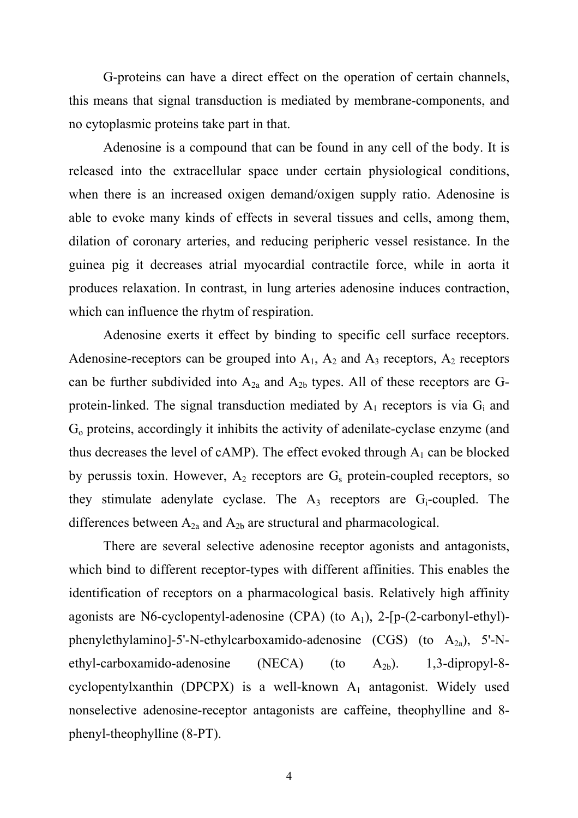G-proteins can have a direct effect on the operation of certain channels, this means that signal transduction is mediated by membrane-components, and no cytoplasmic proteins take part in that.

 Adenosine is a compound that can be found in any cell of the body. It is released into the extracellular space under certain physiological conditions, when there is an increased oxigen demand/oxigen supply ratio. Adenosine is able to evoke many kinds of effects in several tissues and cells, among them, dilation of coronary arteries, and reducing peripheric vessel resistance. In the guinea pig it decreases atrial myocardial contractile force, while in aorta it produces relaxation. In contrast, in lung arteries adenosine induces contraction, which can influence the rhytm of respiration.

 Adenosine exerts it effect by binding to specific cell surface receptors. Adenosine-receptors can be grouped into  $A_1$ ,  $A_2$  and  $A_3$  receptors,  $A_2$  receptors can be further subdivided into  $A_{2a}$  and  $A_{2b}$  types. All of these receptors are Gprotein-linked. The signal transduction mediated by  $A_1$  receptors is via  $G_i$  and Go proteins, accordingly it inhibits the activity of adenilate-cyclase enzyme (and thus decreases the level of cAMP). The effect evoked through  $A_1$  can be blocked by perussis toxin. However,  $A_2$  receptors are  $G_s$  protein-coupled receptors, so they stimulate adenylate cyclase. The  $A_3$  receptors are  $G_i$ -coupled. The differences between  $A_{2a}$  and  $A_{2b}$  are structural and pharmacological.

 There are several selective adenosine receptor agonists and antagonists, which bind to different receptor-types with different affinities. This enables the identification of receptors on a pharmacological basis. Relatively high affinity agonists are N6-cyclopentyl-adenosine (CPA) (to  $A_1$ ), 2-[p-(2-carbonyl-ethyl)phenylethylamino]-5'-N-ethylcarboxamido-adenosine  $(CGS)$  (to  $A_{2a}$ ), 5'-Nethyl-carboxamido-adenosine (NECA) (to  $A_{2b}$ ). 1,3-dipropyl-8cyclopentylxanthin (DPCPX) is a well-known  $A_1$  antagonist. Widely used nonselective adenosine-receptor antagonists are caffeine, theophylline and 8 phenyl-theophylline (8-PT).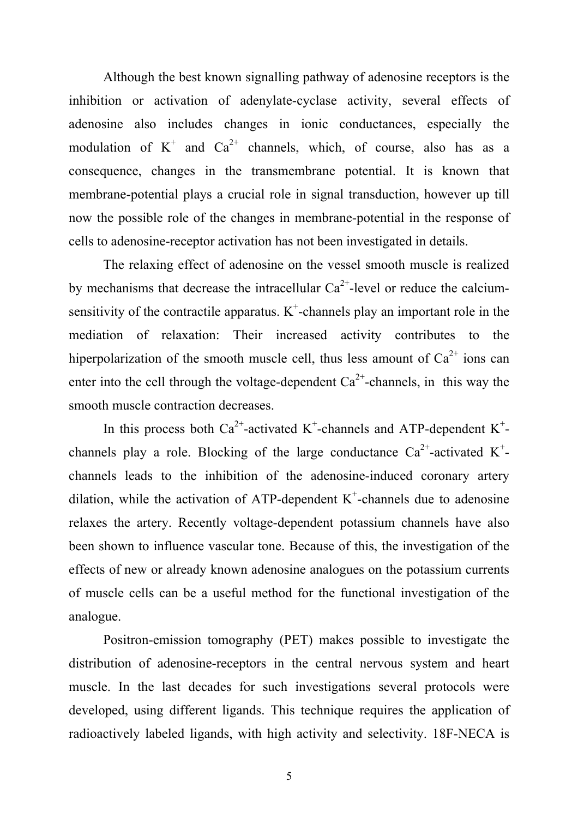Although the best known signalling pathway of adenosine receptors is the inhibition or activation of adenylate-cyclase activity, several effects of adenosine also includes changes in ionic conductances, especially the modulation of  $K^+$  and  $Ca^{2+}$  channels, which, of course, also has as a consequence, changes in the transmembrane potential. It is known that membrane-potential plays a crucial role in signal transduction, however up till now the possible role of the changes in membrane-potential in the response of cells to adenosine-receptor activation has not been investigated in details.

 The relaxing effect of adenosine on the vessel smooth muscle is realized by mechanisms that decrease the intracellular  $Ca^{2+}$ -level or reduce the calciumsensitivity of the contractile apparatus.  $K^+$ -channels play an important role in the mediation of relaxation: Their increased activity contributes to the hiperpolarization of the smooth muscle cell, thus less amount of  $Ca^{2+}$  ions can enter into the cell through the voltage-dependent  $Ca^{2+}$ -channels, in this way the smooth muscle contraction decreases.

In this process both Ca<sup>2+</sup>-activated K<sup>+</sup>-channels and ATP-dependent K<sup>+</sup>channels play a role. Blocking of the large conductance  $Ca^{2+}$ -activated K<sup>+</sup>channels leads to the inhibition of the adenosine-induced coronary artery dilation, while the activation of ATP-dependent  $K^+$ -channels due to adenosine relaxes the artery. Recently voltage-dependent potassium channels have also been shown to influence vascular tone. Because of this, the investigation of the effects of new or already known adenosine analogues on the potassium currents of muscle cells can be a useful method for the functional investigation of the analogue.

Positron-emission tomography (PET) makes possible to investigate the distribution of adenosine-receptors in the central nervous system and heart muscle. In the last decades for such investigations several protocols were developed, using different ligands. This technique requires the application of radioactively labeled ligands, with high activity and selectivity. 18F-NECA is

5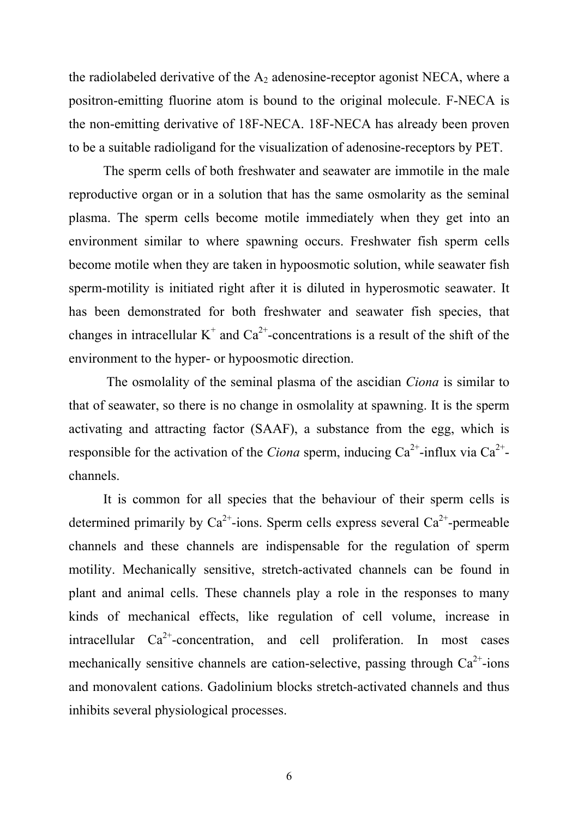the radiolabeled derivative of the  $A_2$  adenosine-receptor agonist NECA, where a positron-emitting fluorine atom is bound to the original molecule. F-NECA is the non-emitting derivative of 18F-NECA. 18F-NECA has already been proven to be a suitable radioligand for the visualization of adenosine-receptors by PET.

The sperm cells of both freshwater and seawater are immotile in the male reproductive organ or in a solution that has the same osmolarity as the seminal plasma. The sperm cells become motile immediately when they get into an environment similar to where spawning occurs. Freshwater fish sperm cells become motile when they are taken in hypoosmotic solution, while seawater fish sperm-motility is initiated right after it is diluted in hyperosmotic seawater. It has been demonstrated for both freshwater and seawater fish species, that changes in intracellular  $K^+$  and  $Ca^{2+}$ -concentrations is a result of the shift of the environment to the hyper- or hypoosmotic direction.

 The osmolality of the seminal plasma of the ascidian *Ciona* is similar to that of seawater, so there is no change in osmolality at spawning. It is the sperm activating and attracting factor (SAAF), a substance from the egg, which is responsible for the activation of the *Ciona* sperm, inducing  $Ca^{2+}$ -influx via  $Ca^{2+}$ channels.

It is common for all species that the behaviour of their sperm cells is determined primarily by  $Ca^{2+}$ -ions. Sperm cells express several  $Ca^{2+}$ -permeable channels and these channels are indispensable for the regulation of sperm motility. Mechanically sensitive, stretch-activated channels can be found in plant and animal cells. These channels play a role in the responses to many kinds of mechanical effects, like regulation of cell volume, increase in intracellular  $Ca^{2+}$ -concentration, and cell proliferation. In most cases mechanically sensitive channels are cation-selective, passing through  $Ca^{2+}$ -ions and monovalent cations. Gadolinium blocks stretch-activated channels and thus inhibits several physiological processes.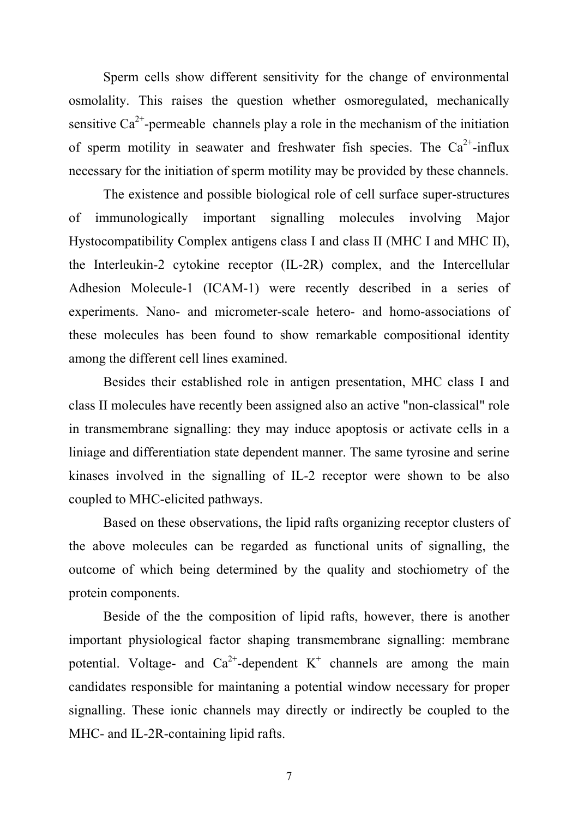Sperm cells show different sensitivity for the change of environmental osmolality. This raises the question whether osmoregulated, mechanically sensitive  $Ca^{2+}$ -permeable channels play a role in the mechanism of the initiation of sperm motility in seawater and freshwater fish species. The  $Ca^{2+}$ -influx necessary for the initiation of sperm motility may be provided by these channels.

The existence and possible biological role of cell surface super-structures of immunologically important signalling molecules involving Major Hystocompatibility Complex antigens class I and class II (MHC I and MHC II), the Interleukin-2 cytokine receptor (IL-2R) complex, and the Intercellular Adhesion Molecule-1 (ICAM-1) were recently described in a series of experiments. Nano- and micrometer-scale hetero- and homo-associations of these molecules has been found to show remarkable compositional identity among the different cell lines examined.

Besides their established role in antigen presentation, MHC class I and class II molecules have recently been assigned also an active "non-classical" role in transmembrane signalling: they may induce apoptosis or activate cells in a liniage and differentiation state dependent manner. The same tyrosine and serine kinases involved in the signalling of IL-2 receptor were shown to be also coupled to MHC-elicited pathways.

Based on these observations, the lipid rafts organizing receptor clusters of the above molecules can be regarded as functional units of signalling, the outcome of which being determined by the quality and stochiometry of the protein components.

Beside of the the composition of lipid rafts, however, there is another important physiological factor shaping transmembrane signalling: membrane potential. Voltage- and  $Ca^{2+}$ -dependent K<sup>+</sup> channels are among the main candidates responsible for maintaning a potential window necessary for proper signalling. These ionic channels may directly or indirectly be coupled to the MHC- and IL-2R-containing lipid rafts.

7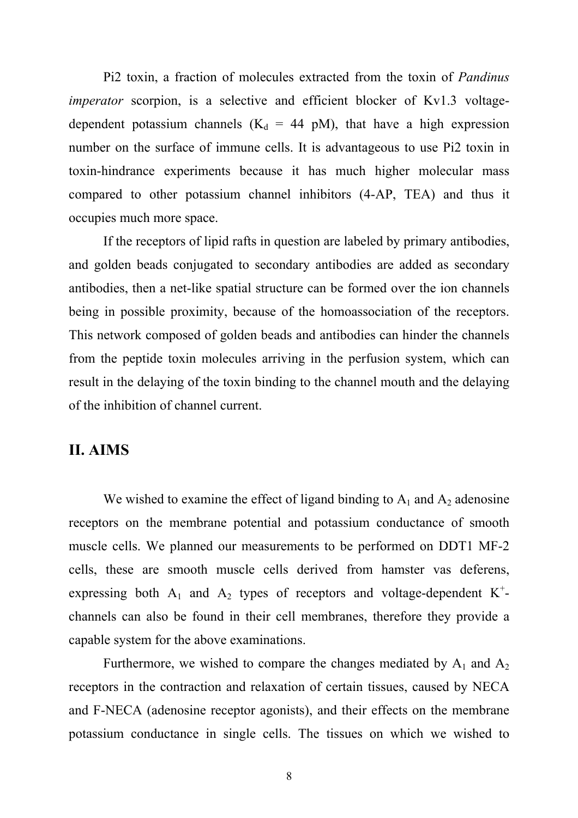Pi2 toxin, a fraction of molecules extracted from the toxin of *Pandinus imperator* scorpion, is a selective and efficient blocker of Kv1.3 voltagedependent potassium channels ( $K_d = 44$  pM), that have a high expression number on the surface of immune cells. It is advantageous to use Pi2 toxin in toxin-hindrance experiments because it has much higher molecular mass compared to other potassium channel inhibitors (4-AP, TEA) and thus it occupies much more space.

If the receptors of lipid rafts in question are labeled by primary antibodies, and golden beads conjugated to secondary antibodies are added as secondary antibodies, then a net-like spatial structure can be formed over the ion channels being in possible proximity, because of the homoassociation of the receptors. This network composed of golden beads and antibodies can hinder the channels from the peptide toxin molecules arriving in the perfusion system, which can result in the delaying of the toxin binding to the channel mouth and the delaying of the inhibition of channel current.

### **II. AIMS**

We wished to examine the effect of ligand binding to  $A_1$  and  $A_2$  adenosine receptors on the membrane potential and potassium conductance of smooth muscle cells. We planned our measurements to be performed on DDT1 MF-2 cells, these are smooth muscle cells derived from hamster vas deferens, expressing both  $A_1$  and  $A_2$  types of receptors and voltage-dependent K<sup>+</sup>channels can also be found in their cell membranes, therefore they provide a capable system for the above examinations.

Furthermore, we wished to compare the changes mediated by  $A_1$  and  $A_2$ receptors in the contraction and relaxation of certain tissues, caused by NECA and F-NECA (adenosine receptor agonists), and their effects on the membrane potassium conductance in single cells. The tissues on which we wished to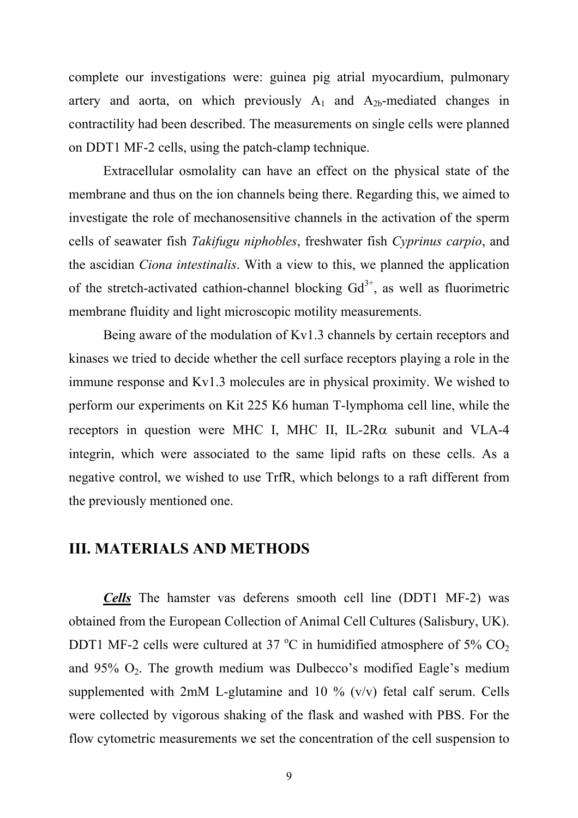complete our investigations were: guinea pig atrial myocardium, pulmonary artery and aorta, on which previously  $A_1$  and  $A_{2b}$ -mediated changes in contractility had been described. The measurements on single cells were planned on DDT1 MF-2 cells, using the patch-clamp technique.

 Extracellular osmolality can have an effect on the physical state of the membrane and thus on the ion channels being there. Regarding this, we aimed to investigate the role of mechanosensitive channels in the activation of the sperm cells of seawater fish *Takifugu niphobles*, freshwater fish *Cyprinus carpio*, and the ascidian *Ciona intestinalis*. With a view to this, we planned the application of the stretch-activated cathion-channel blocking  $Gd^{3+}$ , as well as fluorimetric membrane fluidity and light microscopic motility measurements.

 Being aware of the modulation of Kv1.3 channels by certain receptors and kinases we tried to decide whether the cell surface receptors playing a role in the immune response and Kv1.3 molecules are in physical proximity. We wished to perform our experiments on Kit 225 K6 human T-lymphoma cell line, while the receptors in question were MHC I, MHC II, IL-2R $\alpha$  subunit and VLA-4 integrin, which were associated to the same lipid rafts on these cells. As a negative control, we wished to use TrfR, which belongs to a raft different from the previously mentioned one.

### **III. MATERIALS AND METHODS**

*Cells* The hamster vas deferens smooth cell line (DDT1 MF-2) was obtained from the European Collection of Animal Cell Cultures (Salisbury, UK). DDT1 MF-2 cells were cultured at 37  $\mathrm{^{\circ}C}$  in humidified atmosphere of 5% CO<sub>2</sub> and  $95\%$  O<sub>2</sub>. The growth medium was Dulbecco's modified Eagle's medium supplemented with  $2mM$  L-glutamine and 10 % (v/v) fetal calf serum. Cells were collected by vigorous shaking of the flask and washed with PBS. For the flow cytometric measurements we set the concentration of the cell suspension to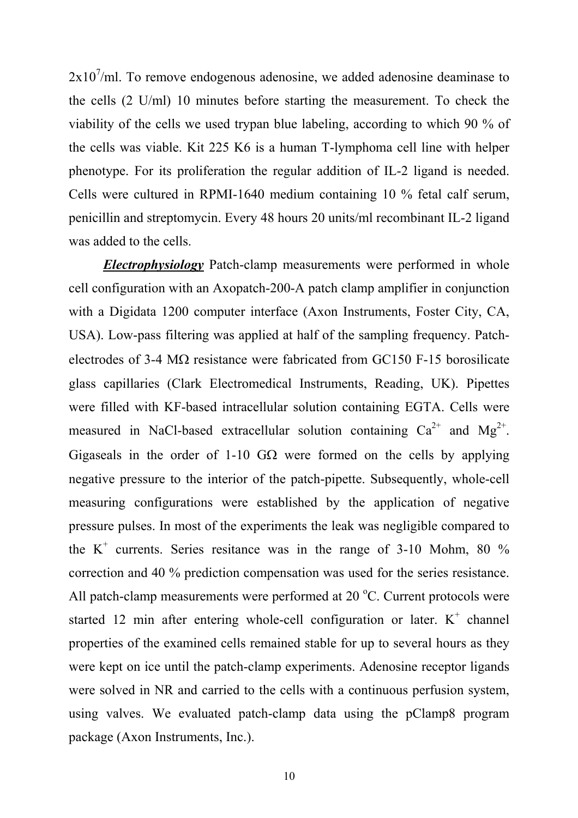$2x10^7$ /ml. To remove endogenous adenosine, we added adenosine deaminase to the cells (2 U/ml) 10 minutes before starting the measurement. To check the viability of the cells we used trypan blue labeling, according to which 90 % of the cells was viable. Kit 225 K6 is a human T-lymphoma cell line with helper phenotype. For its proliferation the regular addition of IL-2 ligand is needed. Cells were cultured in RPMI-1640 medium containing 10 % fetal calf serum, penicillin and streptomycin. Every 48 hours 20 units/ml recombinant IL-2 ligand was added to the cells.

*Electrophysiology* Patch-clamp measurements were performed in whole cell configuration with an Axopatch-200-A patch clamp amplifier in conjunction with a Digidata 1200 computer interface (Axon Instruments, Foster City, CA, USA). Low-pass filtering was applied at half of the sampling frequency. Patchelectrodes of 3-4  $\text{M}\Omega$  resistance were fabricated from GC150 F-15 borosilicate glass capillaries (Clark Electromedical Instruments, Reading, UK). Pipettes were filled with KF-based intracellular solution containing EGTA. Cells were measured in NaCl-based extracellular solution containing  $Ca^{2+}$  and  $Mg^{2+}$ . Gigaseals in the order of 1-10 GQ were formed on the cells by applying negative pressure to the interior of the patch-pipette. Subsequently, whole-cell measuring configurations were established by the application of negative pressure pulses. In most of the experiments the leak was negligible compared to the  $K^+$  currents. Series resitance was in the range of 3-10 Mohm, 80 % correction and 40 % prediction compensation was used for the series resistance. All patch-clamp measurements were performed at  $20^{\circ}$ C. Current protocols were started 12 min after entering whole-cell configuration or later.  $K^+$  channel properties of the examined cells remained stable for up to several hours as they were kept on ice until the patch-clamp experiments. Adenosine receptor ligands were solved in NR and carried to the cells with a continuous perfusion system, using valves. We evaluated patch-clamp data using the pClamp8 program package (Axon Instruments, Inc.).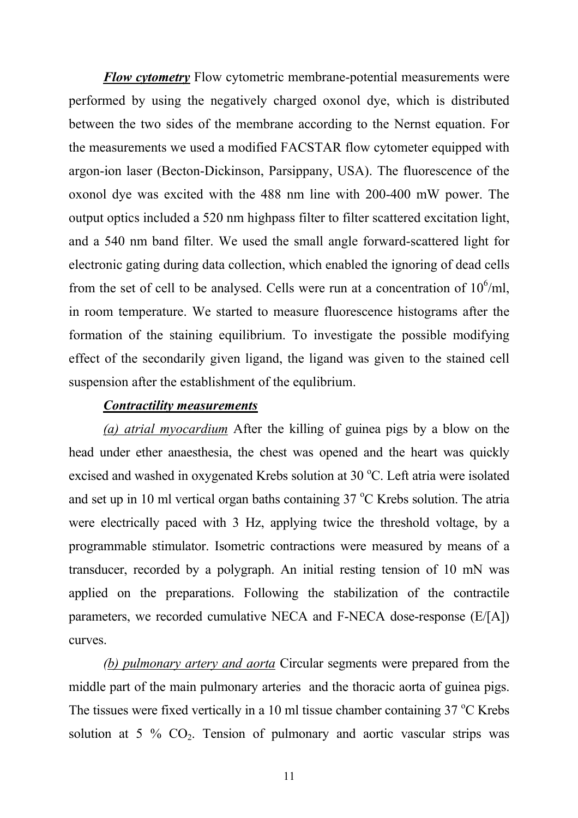*Flow cytometry* Flow cytometric membrane-potential measurements were performed by using the negatively charged oxonol dye, which is distributed between the two sides of the membrane according to the Nernst equation. For the measurements we used a modified FACSTAR flow cytometer equipped with argon-ion laser (Becton-Dickinson, Parsippany, USA). The fluorescence of the oxonol dye was excited with the 488 nm line with 200-400 mW power. The output optics included a 520 nm highpass filter to filter scattered excitation light, and a 540 nm band filter. We used the small angle forward-scattered light for electronic gating during data collection, which enabled the ignoring of dead cells from the set of cell to be analysed. Cells were run at a concentration of  $10^6$ /ml, in room temperature. We started to measure fluorescence histograms after the formation of the staining equilibrium. To investigate the possible modifying effect of the secondarily given ligand, the ligand was given to the stained cell suspension after the establishment of the equlibrium.

#### *Contractility measurements*

*(a) atrial myocardium* After the killing of guinea pigs by a blow on the head under ether anaesthesia, the chest was opened and the heart was quickly excised and washed in oxygenated Krebs solution at  $30^{\circ}$ C. Left atria were isolated and set up in 10 ml vertical organ baths containing  $37^{\circ}$ C Krebs solution. The atria were electrically paced with 3 Hz, applying twice the threshold voltage, by a programmable stimulator. Isometric contractions were measured by means of a transducer, recorded by a polygraph. An initial resting tension of 10 mN was applied on the preparations. Following the stabilization of the contractile parameters, we recorded cumulative NECA and F-NECA dose-response (E/[A]) curves.

*(b) pulmonary artery and aorta* Circular segments were prepared from the middle part of the main pulmonary arteries and the thoracic aorta of guinea pigs. The tissues were fixed vertically in a 10 ml tissue chamber containing  $37^{\circ}$ C Krebs solution at 5 %  $CO<sub>2</sub>$ . Tension of pulmonary and aortic vascular strips was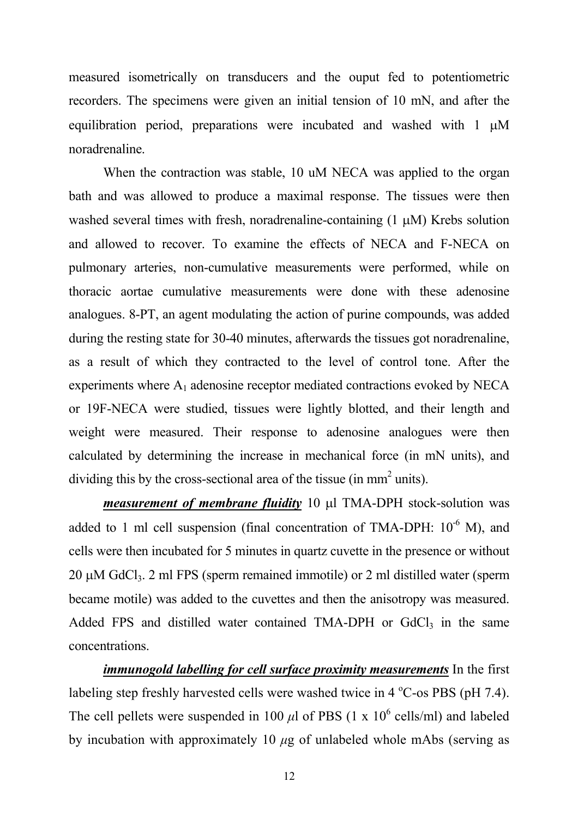measured isometrically on transducers and the ouput fed to potentiometric recorders. The specimens were given an initial tension of 10 mN, and after the equilibration period, preparations were incubated and washed with  $1 \mu M$ noradrenaline.

When the contraction was stable, 10 uM NECA was applied to the organ bath and was allowed to produce a maximal response. The tissues were then washed several times with fresh, noradrenaline-containing  $(1 \mu M)$  Krebs solution and allowed to recover. To examine the effects of NECA and F-NECA on pulmonary arteries, non-cumulative measurements were performed, while on thoracic aortae cumulative measurements were done with these adenosine analogues. 8-PT, an agent modulating the action of purine compounds, was added during the resting state for 30-40 minutes, afterwards the tissues got noradrenaline, as a result of which they contracted to the level of control tone. After the experiments where  $A_1$  adenosine receptor mediated contractions evoked by NECA or 19F-NECA were studied, tissues were lightly blotted, and their length and weight were measured. Their response to adenosine analogues were then calculated by determining the increase in mechanical force (in mN units), and dividing this by the cross-sectional area of the tissue (in  $mm<sup>2</sup>$  units).

*measurement of membrane fluidity* 10 µl TMA-DPH stock-solution was added to 1 ml cell suspension (final concentration of TMA-DPH:  $10^{-6}$  M), and cells were then incubated for 5 minutes in quartz cuvette in the presence or without  $20 \mu M$  GdCl<sub>3</sub>. 2 ml FPS (sperm remained immotile) or 2 ml distilled water (sperm became motile) was added to the cuvettes and then the anisotropy was measured. Added FPS and distilled water contained TMA-DPH or  $GdCl<sub>3</sub>$  in the same concentrations.

*immunogold labelling for cell surface proximity measurements* In the first labeling step freshly harvested cells were washed twice in  $4^{\circ}$ C-os PBS (pH 7.4). The cell pellets were suspended in 100  $\mu$ l of PBS (1 x 10<sup>6</sup> cells/ml) and labeled by incubation with approximately 10  $\mu$ g of unlabeled whole mAbs (serving as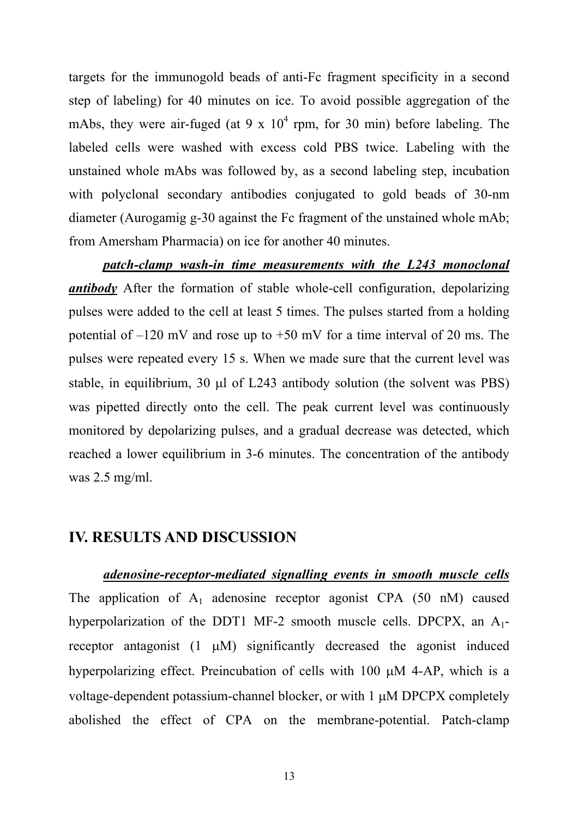targets for the immunogold beads of anti-Fc fragment specificity in a second step of labeling) for 40 minutes on ice. To avoid possible aggregation of the mAbs, they were air-fuged (at 9 x  $10^4$  rpm, for 30 min) before labeling. The labeled cells were washed with excess cold PBS twice. Labeling with the unstained whole mAbs was followed by, as a second labeling step, incubation with polyclonal secondary antibodies conjugated to gold beads of 30-nm diameter (Aurogamig g-30 against the Fc fragment of the unstained whole mAb; from Amersham Pharmacia) on ice for another 40 minutes.

*patch-clamp wash-in time measurements with the L243 monoclonal antibody* After the formation of stable whole-cell configuration, depolarizing pulses were added to the cell at least 5 times. The pulses started from a holding potential of  $-120$  mV and rose up to  $+50$  mV for a time interval of 20 ms. The pulses were repeated every 15 s. When we made sure that the current level was stable, in equilibrium, 30  $\mu$ l of L243 antibody solution (the solvent was PBS) was pipetted directly onto the cell. The peak current level was continuously monitored by depolarizing pulses, and a gradual decrease was detected, which reached a lower equilibrium in 3-6 minutes. The concentration of the antibody was 2.5 mg/ml.

#### **IV. RESULTS AND DISCUSSION**

*adenosine-receptor-mediated signalling events in smooth muscle cells* The application of  $A_1$  adenosine receptor agonist CPA (50 nM) caused hyperpolarization of the DDT1 MF-2 smooth muscle cells. DPCPX, an  $A_1$ receptor antagonist  $(1 \mu M)$  significantly decreased the agonist induced hyperpolarizing effect. Preincubation of cells with  $100 \mu M$  4-AP, which is a voltage-dependent potassium-channel blocker, or with 1  $\mu$ M DPCPX completely abolished the effect of CPA on the membrane-potential. Patch-clamp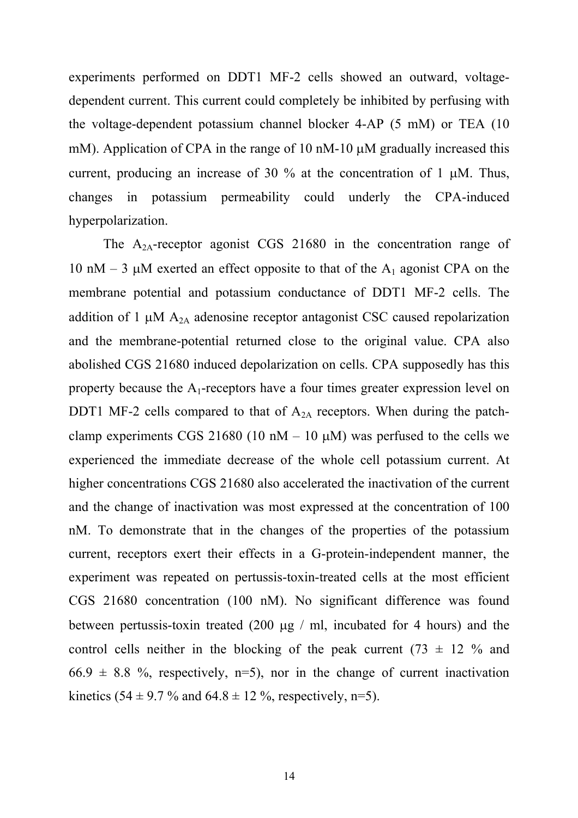experiments performed on DDT1 MF-2 cells showed an outward, voltagedependent current. This current could completely be inhibited by perfusing with the voltage-dependent potassium channel blocker 4-AP (5 mM) or TEA (10 mM). Application of CPA in the range of 10 nM-10  $\mu$ M gradually increased this current, producing an increase of 30  $\%$  at the concentration of 1  $\mu$ M. Thus, changes in potassium permeability could underly the CPA-induced hyperpolarization.

The  $A_{2A}$ -receptor agonist CGS 21680 in the concentration range of 10 nM – 3  $\mu$ M exerted an effect opposite to that of the A<sub>1</sub> agonist CPA on the membrane potential and potassium conductance of DDT1 MF-2 cells. The addition of 1  $\mu$ M A<sub>2A</sub> adenosine receptor antagonist CSC caused repolarization and the membrane-potential returned close to the original value. CPA also abolished CGS 21680 induced depolarization on cells. CPA supposedly has this property because the  $A_1$ -receptors have a four times greater expression level on DDT1 MF-2 cells compared to that of  $A_{2A}$  receptors. When during the patchclamp experiments CGS 21680 (10 nM – 10  $\mu$ M) was perfused to the cells we experienced the immediate decrease of the whole cell potassium current. At higher concentrations CGS 21680 also accelerated the inactivation of the current and the change of inactivation was most expressed at the concentration of 100 nM. To demonstrate that in the changes of the properties of the potassium current, receptors exert their effects in a G-protein-independent manner, the experiment was repeated on pertussis-toxin-treated cells at the most efficient CGS 21680 concentration (100 nM). No significant difference was found between pertussis-toxin treated  $(200 \mu g$  / ml, incubated for 4 hours) and the control cells neither in the blocking of the peak current (73  $\pm$  12 % and  $66.9 \pm 8.8$  %, respectively, n=5), nor in the change of current inactivation kinetics (54 ± 9.7 % and 64.8 ± 12 %, respectively, n=5).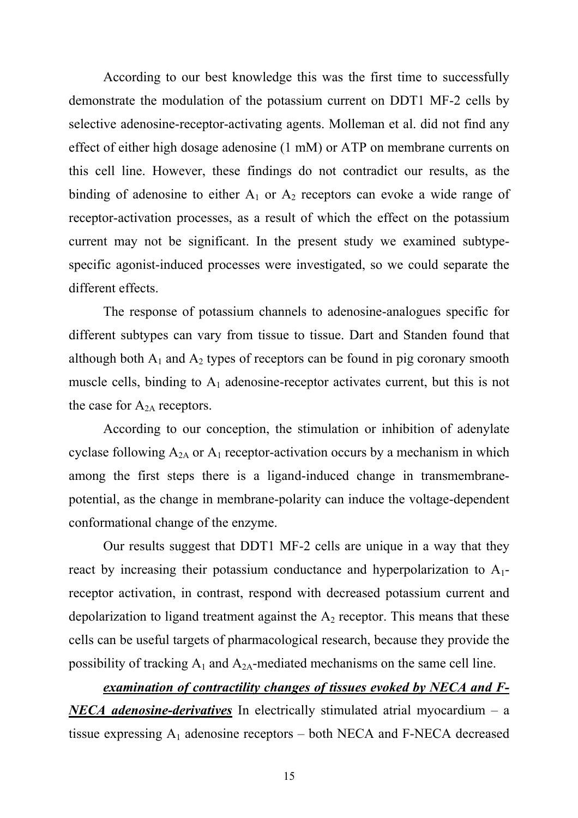According to our best knowledge this was the first time to successfully demonstrate the modulation of the potassium current on DDT1 MF-2 cells by selective adenosine-receptor-activating agents. Molleman et al. did not find any effect of either high dosage adenosine (1 mM) or ATP on membrane currents on this cell line. However, these findings do not contradict our results, as the binding of adenosine to either  $A_1$  or  $A_2$  receptors can evoke a wide range of receptor-activation processes, as a result of which the effect on the potassium current may not be significant. In the present study we examined subtypespecific agonist-induced processes were investigated, so we could separate the different effects.

 The response of potassium channels to adenosine-analogues specific for different subtypes can vary from tissue to tissue. Dart and Standen found that although both  $A_1$  and  $A_2$  types of receptors can be found in pig coronary smooth muscle cells, binding to  $A_1$  adenosine-receptor activates current, but this is not the case for  $A_{2A}$  receptors.

 According to our conception, the stimulation or inhibition of adenylate cyclase following  $A_{2A}$  or  $A_1$  receptor-activation occurs by a mechanism in which among the first steps there is a ligand-induced change in transmembranepotential, as the change in membrane-polarity can induce the voltage-dependent conformational change of the enzyme.

 Our results suggest that DDT1 MF-2 cells are unique in a way that they react by increasing their potassium conductance and hyperpolarization to A1 receptor activation, in contrast, respond with decreased potassium current and depolarization to ligand treatment against the  $A_2$  receptor. This means that these cells can be useful targets of pharmacological research, because they provide the possibility of tracking  $A_1$  and  $A_{2A}$ -mediated mechanisms on the same cell line.

*examination of contractility changes of tissues evoked by NECA and F-NECA adenosine-derivatives* In electrically stimulated atrial myocardium – a tissue expressing  $A_1$  adenosine receptors – both NECA and F-NECA decreased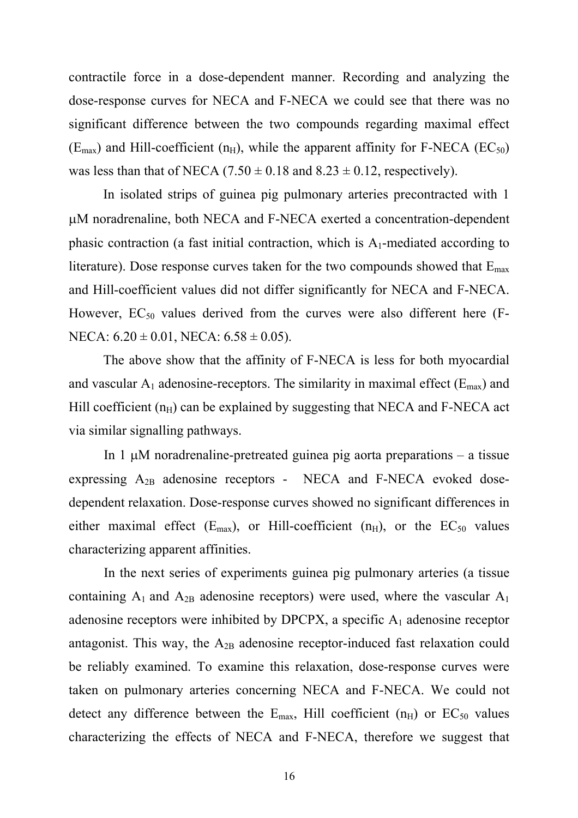contractile force in a dose-dependent manner. Recording and analyzing the dose-response curves for NECA and F-NECA we could see that there was no significant difference between the two compounds regarding maximal effect  $(E_{\text{max}})$  and Hill-coefficient (n<sub>H</sub>), while the apparent affinity for F-NECA (EC<sub>50</sub>) was less than that of NECA (7.50  $\pm$  0.18 and 8.23  $\pm$  0.12, respectively).

In isolated strips of guinea pig pulmonary arteries precontracted with 1  $\mu$ M noradrenaline, both NECA and F-NECA exerted a concentration-dependent phasic contraction (a fast initial contraction, which is  $A_1$ -mediated according to literature). Dose response curves taken for the two compounds showed that  $E_{\text{max}}$ and Hill-coefficient values did not differ significantly for NECA and F-NECA. However,  $EC_{50}$  values derived from the curves were also different here (F-NECA:  $6.20 \pm 0.01$ , NECA:  $6.58 \pm 0.05$ ).

The above show that the affinity of F-NECA is less for both myocardial and vascular  $A_1$  adenosine-receptors. The similarity in maximal effect ( $E_{\text{max}}$ ) and Hill coefficient  $(n_H)$  can be explained by suggesting that NECA and F-NECA act via similar signalling pathways.

In 1  $\mu$ M noradrenaline-pretreated guinea pig aorta preparations – a tissue expressing  $A_{2B}$  adenosine receptors - NECA and F-NECA evoked dosedependent relaxation. Dose-response curves showed no significant differences in either maximal effect  $(E_{max})$ , or Hill-coefficient  $(n_H)$ , or the  $EC_{50}$  values characterizing apparent affinities.

In the next series of experiments guinea pig pulmonary arteries (a tissue containing  $A_1$  and  $A_{2B}$  adenosine receptors) were used, where the vascular  $A_1$ adenosine receptors were inhibited by DPCPX, a specific  $A_1$  adenosine receptor antagonist. This way, the  $A_{2B}$  adenosine receptor-induced fast relaxation could be reliably examined. To examine this relaxation, dose-response curves were taken on pulmonary arteries concerning NECA and F-NECA. We could not detect any difference between the  $E_{\text{max}}$ , Hill coefficient (n<sub>H</sub>) or  $EC_{50}$  values characterizing the effects of NECA and F-NECA, therefore we suggest that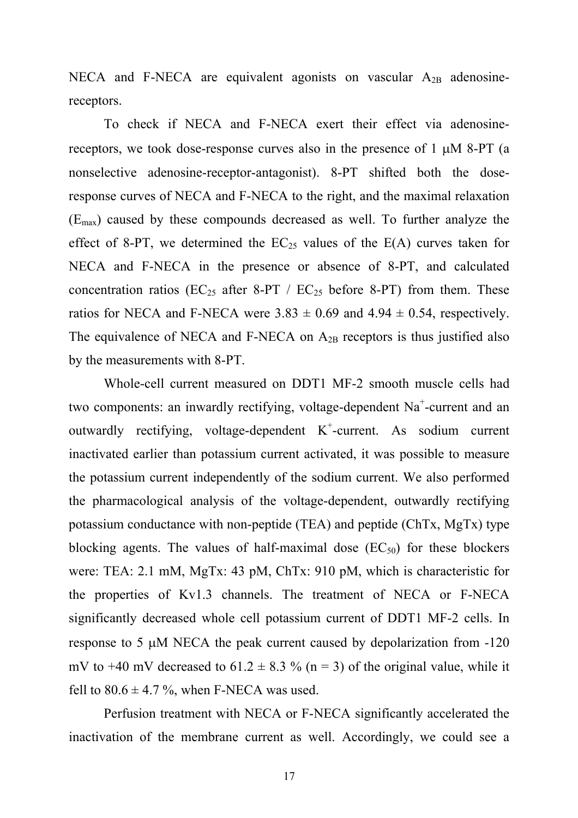NECA and F-NECA are equivalent agonists on vascular  $A_{2B}$  adenosinereceptors.

To check if NECA and F-NECA exert their effect via adenosinereceptors, we took dose-response curves also in the presence of  $1 \mu M 8-PT$  (a nonselective adenosine-receptor-antagonist). 8-PT shifted both the doseresponse curves of NECA and F-NECA to the right, and the maximal relaxation  $(E_{\text{max}})$  caused by these compounds decreased as well. To further analyze the effect of 8-PT, we determined the  $EC_{25}$  values of the  $E(A)$  curves taken for NECA and F-NECA in the presence or absence of 8-PT, and calculated concentration ratios ( $EC_{25}$  after 8-PT /  $EC_{25}$  before 8-PT) from them. These ratios for NECA and F-NECA were  $3.83 \pm 0.69$  and  $4.94 \pm 0.54$ , respectively. The equivalence of NECA and F-NECA on  $A_{2B}$  receptors is thus justified also by the measurements with 8-PT.

Whole-cell current measured on DDT1 MF-2 smooth muscle cells had two components: an inwardly rectifying, voltage-dependent Na<sup>+</sup>-current and an outwardly rectifying, voltage-dependent  $K^+$ -current. As sodium current inactivated earlier than potassium current activated, it was possible to measure the potassium current independently of the sodium current. We also performed the pharmacological analysis of the voltage-dependent, outwardly rectifying potassium conductance with non-peptide (TEA) and peptide (ChTx, MgTx) type blocking agents. The values of half-maximal dose  $(EC_{50})$  for these blockers were: TEA: 2.1 mM, MgTx: 43 pM, ChTx: 910 pM, which is characteristic for the properties of Kv1.3 channels. The treatment of NECA or F-NECA significantly decreased whole cell potassium current of DDT1 MF-2 cells. In response to 5  $\mu$ M NECA the peak current caused by depolarization from  $-120$ mV to +40 mV decreased to  $61.2 \pm 8.3$  % (n = 3) of the original value, while it fell to  $80.6 \pm 4.7$  %, when F-NECA was used.

Perfusion treatment with NECA or F-NECA significantly accelerated the inactivation of the membrane current as well. Accordingly, we could see a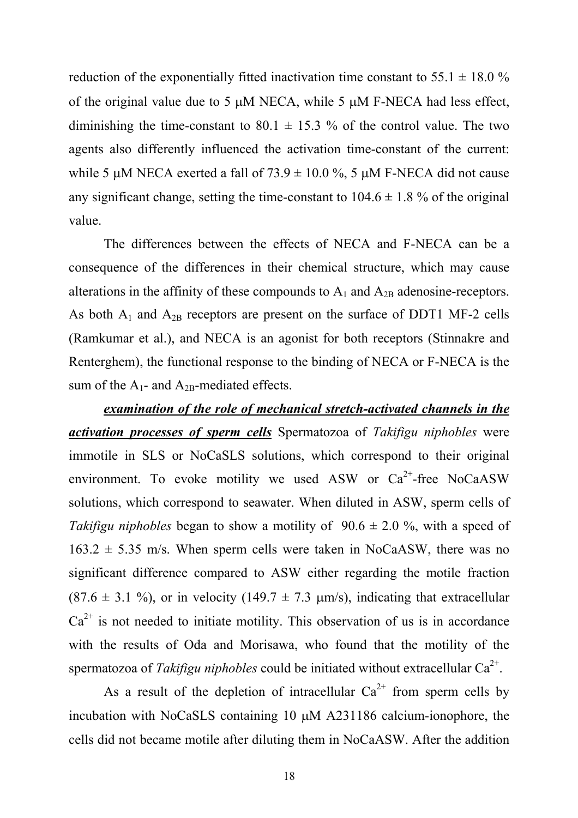reduction of the exponentially fitted inactivation time constant to  $55.1 \pm 18.0$  % of the original value due to 5  $\mu$ M NECA, while 5  $\mu$ M F-NECA had less effect, diminishing the time-constant to 80.1  $\pm$  15.3 % of the control value. The two agents also differently influenced the activation time-constant of the current: while 5  $\mu$ M NECA exerted a fall of 73.9  $\pm$  10.0 %, 5  $\mu$ M F-NECA did not cause any significant change, setting the time-constant to  $104.6 \pm 1.8$  % of the original value.

The differences between the effects of NECA and F-NECA can be a consequence of the differences in their chemical structure, which may cause alterations in the affinity of these compounds to  $A_1$  and  $A_{2B}$  adenosine-receptors. As both  $A_1$  and  $A_{2B}$  receptors are present on the surface of DDT1 MF-2 cells (Ramkumar et al.), and NECA is an agonist for both receptors (Stinnakre and Renterghem), the functional response to the binding of NECA or F-NECA is the sum of the  $A_1$ - and  $A_{2B}$ -mediated effects.

*examination of the role of mechanical stretch-activated channels in the activation processes of sperm cells* Spermatozoa of *Takifigu niphobles* were immotile in SLS or NoCaSLS solutions, which correspond to their original environment. To evoke motility we used ASW or  $Ca^{2+}$ -free NoCaASW solutions, which correspond to seawater. When diluted in ASW, sperm cells of *Takifigu niphobles* began to show a motility of  $90.6 \pm 2.0$  %, with a speed of  $163.2 \pm 5.35$  m/s. When sperm cells were taken in NoCaASW, there was no significant difference compared to ASW either regarding the motile fraction  $(87.6 \pm 3.1 \%)$ , or in velocity  $(149.7 \pm 7.3 \mu \text{m/s})$ , indicating that extracellular  $Ca<sup>2+</sup>$  is not needed to initiate motility. This observation of us is in accordance with the results of Oda and Morisawa, who found that the motility of the spermatozoa of *Takifigu niphobles* could be initiated without extracellular  $Ca^{2+}$ .

As a result of the depletion of intracellular  $Ca^{2+}$  from sperm cells by incubation with NoCaSLS containing  $10 \mu M$  A231186 calcium-ionophore, the cells did not became motile after diluting them in NoCaASW. After the addition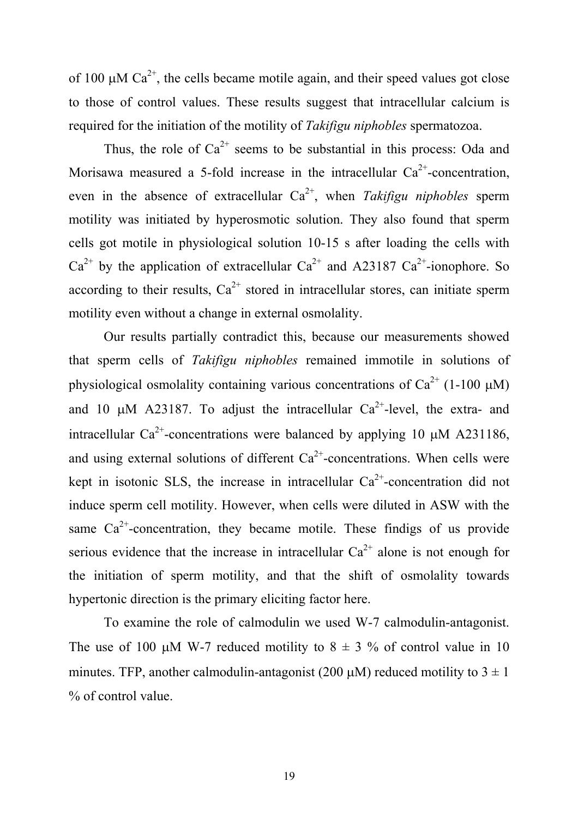of 100  $\mu$ M Ca<sup>2+</sup>, the cells became motile again, and their speed values got close to those of control values. These results suggest that intracellular calcium is required for the initiation of the motility of *Takifigu niphobles* spermatozoa.

Thus, the role of  $Ca^{2+}$  seems to be substantial in this process: Oda and Morisawa measured a 5-fold increase in the intracellular  $Ca^{2+}$ -concentration, even in the absence of extracellular  $Ca^{2+}$ , when *Takifigu niphobles* sperm motility was initiated by hyperosmotic solution. They also found that sperm cells got motile in physiological solution 10-15 s after loading the cells with  $Ca^{2+}$  by the application of extracellular  $Ca^{2+}$  and A23187  $Ca^{2+}$ -ionophore. So according to their results,  $Ca^{2+}$  stored in intracellular stores, can initiate sperm motility even without a change in external osmolality.

Our results partially contradict this, because our measurements showed that sperm cells of *Takifigu niphobles* remained immotile in solutions of physiological osmolality containing various concentrations of  $Ca^{2+}$  (1-100  $\mu$ M) and 10  $\mu$ M A23187. To adjust the intracellular Ca<sup>2+</sup>-level, the extra- and intracellular Ca<sup>2+</sup>-concentrations were balanced by applying 10  $\mu$ M A231186, and using external solutions of different  $Ca^{2+}$ -concentrations. When cells were kept in isotonic SLS, the increase in intracellular  $Ca^{2+}$ -concentration did not induce sperm cell motility. However, when cells were diluted in ASW with the same  $Ca^{2+}$ -concentration, they became motile. These findigs of us provide serious evidence that the increase in intracellular  $Ca^{2+}$  alone is not enough for the initiation of sperm motility, and that the shift of osmolality towards hypertonic direction is the primary eliciting factor here.

To examine the role of calmodulin we used W-7 calmodulin-antagonist. The use of 100  $\mu$ M W-7 reduced motility to 8  $\pm$  3 % of control value in 10 minutes. TFP, another calmodulin-antagonist (200  $\mu$ M) reduced motility to 3  $\pm$  1 % of control value.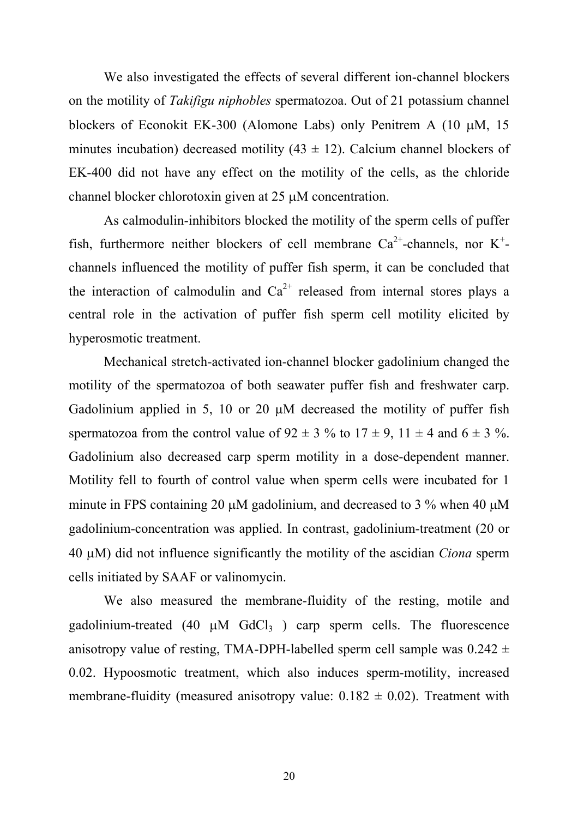We also investigated the effects of several different ion-channel blockers on the motility of *Takifigu niphobles* spermatozoa. Out of 21 potassium channel blockers of Econokit EK-300 (Alomone Labs) only Penitrem A  $(10 \mu M, 15)$ minutes incubation) decreased motility  $(43 \pm 12)$ . Calcium channel blockers of EK-400 did not have any effect on the motility of the cells, as the chloride channel blocker chlorotoxin given at 25  $\mu$ M concentration.

As calmodulin-inhibitors blocked the motility of the sperm cells of puffer fish, furthermore neither blockers of cell membrane  $Ca^{2+}$ -channels, nor K<sup>+</sup>channels influenced the motility of puffer fish sperm, it can be concluded that the interaction of calmodulin and  $Ca^{2+}$  released from internal stores plays a central role in the activation of puffer fish sperm cell motility elicited by hyperosmotic treatment.

Mechanical stretch-activated ion-channel blocker gadolinium changed the motility of the spermatozoa of both seawater puffer fish and freshwater carp. Gadolinium applied in 5, 10 or 20  $\mu$ M decreased the motility of puffer fish spermatozoa from the control value of  $92 \pm 3$  % to  $17 \pm 9$ ,  $11 \pm 4$  and  $6 \pm 3$  %. Gadolinium also decreased carp sperm motility in a dose-dependent manner. Motility fell to fourth of control value when sperm cells were incubated for 1 minute in FPS containing 20  $\mu$ M gadolinium, and decreased to 3 % when 40  $\mu$ M gadolinium-concentration was applied. In contrast, gadolinium-treatment (20 or 40 oM) did not influence significantly the motility of the ascidian *Ciona* sperm cells initiated by SAAF or valinomycin.

We also measured the membrane-fluidity of the resting, motile and gadolinium-treated (40  $\mu$ M GdCl<sub>3</sub>) carp sperm cells. The fluorescence anisotropy value of resting, TMA-DPH-labelled sperm cell sample was  $0.242 \pm$ 0.02. Hypoosmotic treatment, which also induces sperm-motility, increased membrane-fluidity (measured anisotropy value:  $0.182 \pm 0.02$ ). Treatment with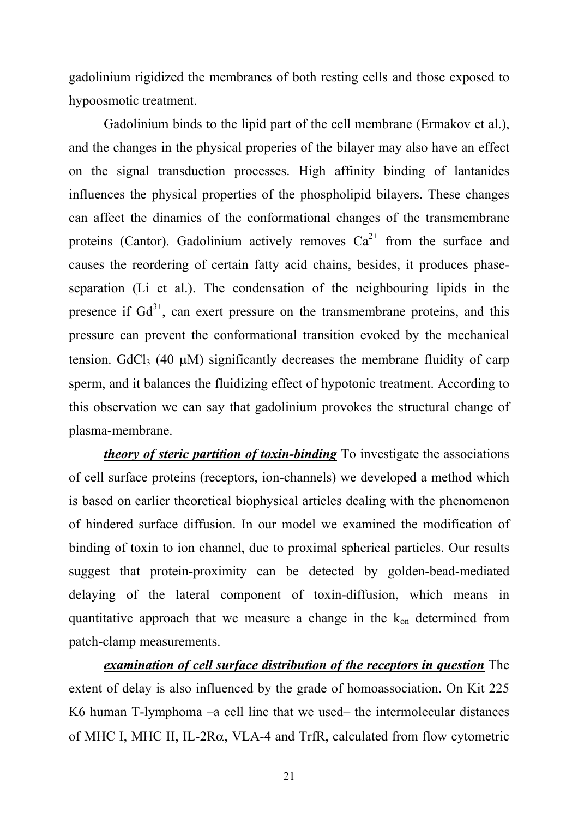gadolinium rigidized the membranes of both resting cells and those exposed to hypoosmotic treatment.

Gadolinium binds to the lipid part of the cell membrane (Ermakov et al.), and the changes in the physical properies of the bilayer may also have an effect on the signal transduction processes. High affinity binding of lantanides influences the physical properties of the phospholipid bilayers. These changes can affect the dinamics of the conformational changes of the transmembrane proteins (Cantor). Gadolinium actively removes  $Ca^{2+}$  from the surface and causes the reordering of certain fatty acid chains, besides, it produces phaseseparation (Li et al.). The condensation of the neighbouring lipids in the presence if  $Gd^{3+}$ , can exert pressure on the transmembrane proteins, and this pressure can prevent the conformational transition evoked by the mechanical tension. GdCl<sub>3</sub> (40  $\mu$ M) significantly decreases the membrane fluidity of carp sperm, and it balances the fluidizing effect of hypotonic treatment. According to this observation we can say that gadolinium provokes the structural change of plasma-membrane.

*theory of steric partition of toxin-binding* To investigate the associations of cell surface proteins (receptors, ion-channels) we developed a method which is based on earlier theoretical biophysical articles dealing with the phenomenon of hindered surface diffusion. In our model we examined the modification of binding of toxin to ion channel, due to proximal spherical particles. Our results suggest that protein-proximity can be detected by golden-bead-mediated delaying of the lateral component of toxin-diffusion, which means in quantitative approach that we measure a change in the  $k_{on}$  determined from patch-clamp measurements.

*examination of cell surface distribution of the receptors in question* The extent of delay is also influenced by the grade of homoassociation. On Kit 225 K6 human T-lymphoma –a cell line that we used– the intermolecular distances of MHC I, MHC II, IL-2R $\alpha$ , VLA-4 and TrfR, calculated from flow cytometric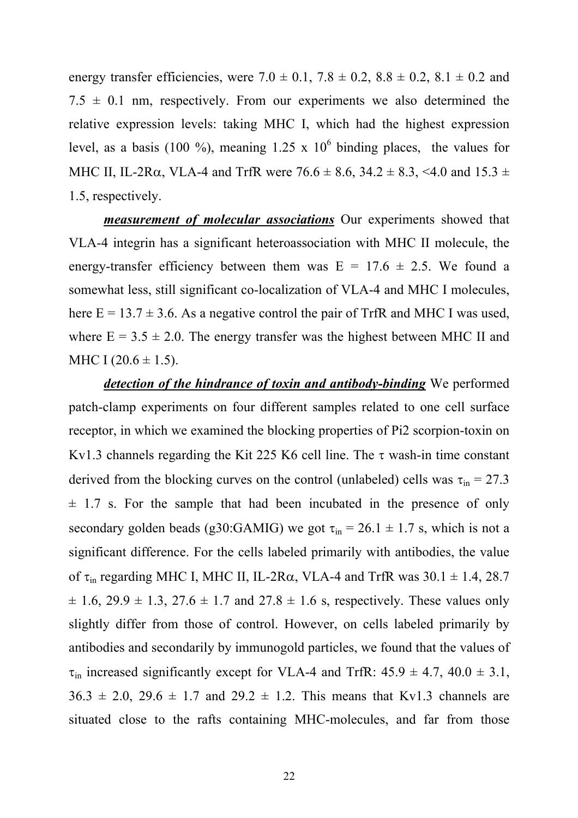energy transfer efficiencies, were  $7.0 \pm 0.1$ ,  $7.8 \pm 0.2$ ,  $8.8 \pm 0.2$ ,  $8.1 \pm 0.2$  and  $7.5 \pm 0.1$  nm, respectively. From our experiments we also determined the relative expression levels: taking MHC I, which had the highest expression level, as a basis (100 %), meaning 1.25 x  $10^6$  binding places, the values for MHC II, IL-2R $\alpha$ , VLA-4 and TrfR were 76.6  $\pm$  8.6, 34.2  $\pm$  8.3, <4.0 and 15.3  $\pm$ 1.5, respectively.

*measurement of molecular associations* Our experiments showed that VLA-4 integrin has a significant heteroassociation with MHC II molecule, the energy-transfer efficiency between them was  $E = 17.6 \pm 2.5$ . We found a somewhat less, still significant co-localization of VLA-4 and MHC I molecules, here  $E = 13.7 \pm 3.6$ . As a negative control the pair of TrfR and MHC I was used, where  $E = 3.5 \pm 2.0$ . The energy transfer was the highest between MHC II and MHC I  $(20.6 \pm 1.5)$ .

*detection of the hindrance of toxin and antibody-binding* We performed patch-clamp experiments on four different samples related to one cell surface receptor, in which we examined the blocking properties of Pi2 scorpion-toxin on Kv1.3 channels regarding the Kit 225 K6 cell line. The  $\tau$  wash-in time constant derived from the blocking curves on the control (unlabeled) cells was  $\tau_{in} = 27.3$  $\pm$  1.7 s. For the sample that had been incubated in the presence of only secondary golden beads (g30:GAMIG) we got  $\tau_{in} = 26.1 \pm 1.7$  s, which is not a significant difference. For the cells labeled primarily with antibodies, the value of  $\tau_{in}$  regarding MHC I, MHC II, IL-2R $\alpha$ , VLA-4 and TrfR was 30.1  $\pm$  1.4, 28.7  $\pm$  1.6, 29.9  $\pm$  1.3, 27.6  $\pm$  1.7 and 27.8  $\pm$  1.6 s, respectively. These values only slightly differ from those of control. However, on cells labeled primarily by antibodies and secondarily by immunogold particles, we found that the values of  $\tau_{in}$  increased significantly except for VLA-4 and TrfR: 45.9  $\pm$  4.7, 40.0  $\pm$  3.1,  $36.3 \pm 2.0$ ,  $29.6 \pm 1.7$  and  $29.2 \pm 1.2$ . This means that Kv1.3 channels are situated close to the rafts containing MHC-molecules, and far from those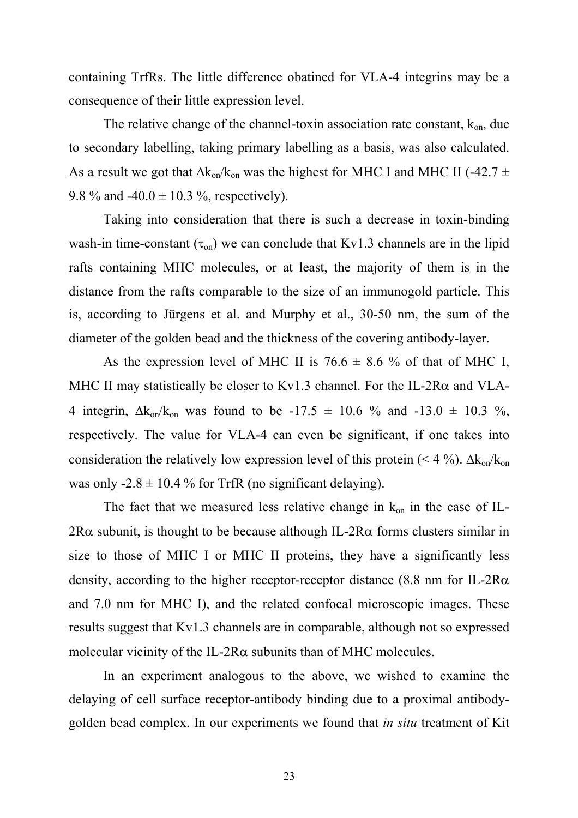containing TrfRs. The little difference obatined for VLA-4 integrins may be a consequence of their little expression level.

The relative change of the channel-toxin association rate constant,  $k_{on}$ , due to secondary labelling, taking primary labelling as a basis, was also calculated. As a result we got that  $\Delta k_{on}/k_{on}$  was the highest for MHC I and MHC II (-42.7  $\pm$ 9.8 % and  $-40.0 \pm 10.3$  %, respectively).

 Taking into consideration that there is such a decrease in toxin-binding wash-in time-constant  $(\tau_{on})$  we can conclude that Kv1.3 channels are in the lipid rafts containing MHC molecules, or at least, the majority of them is in the distance from the rafts comparable to the size of an immunogold particle. This is, according to Jürgens et al. and Murphy et al., 30-50 nm, the sum of the diameter of the golden bead and the thickness of the covering antibody-layer.

As the expression level of MHC II is  $76.6 \pm 8.6$  % of that of MHC I, MHC II may statistically be closer to Kv1.3 channel. For the IL-2R $\alpha$  and VLA-4 integrin,  $\Delta k_{on}/k_{on}$  was found to be -17.5  $\pm$  10.6 % and -13.0  $\pm$  10.3 %, respectively. The value for VLA-4 can even be significant, if one takes into consideration the relatively low expression level of this protein (< 4 %).  $\Delta k_{on}/k_{on}$ was only  $-2.8 \pm 10.4$  % for TrfR (no significant delaying).

The fact that we measured less relative change in  $k_{on}$  in the case of IL- $2R\alpha$  subunit, is thought to be because although IL- $2R\alpha$  forms clusters similar in size to those of MHC I or MHC II proteins, they have a significantly less density, according to the higher receptor-receptor distance  $(8.8 \text{ nm} \text{ for IL-2Ra})$ and 7.0 nm for MHC I), and the related confocal microscopic images. These results suggest that Kv1.3 channels are in comparable, although not so expressed molecular vicinity of the IL-2R $\alpha$  subunits than of MHC molecules.

 In an experiment analogous to the above, we wished to examine the delaying of cell surface receptor-antibody binding due to a proximal antibodygolden bead complex. In our experiments we found that *in situ* treatment of Kit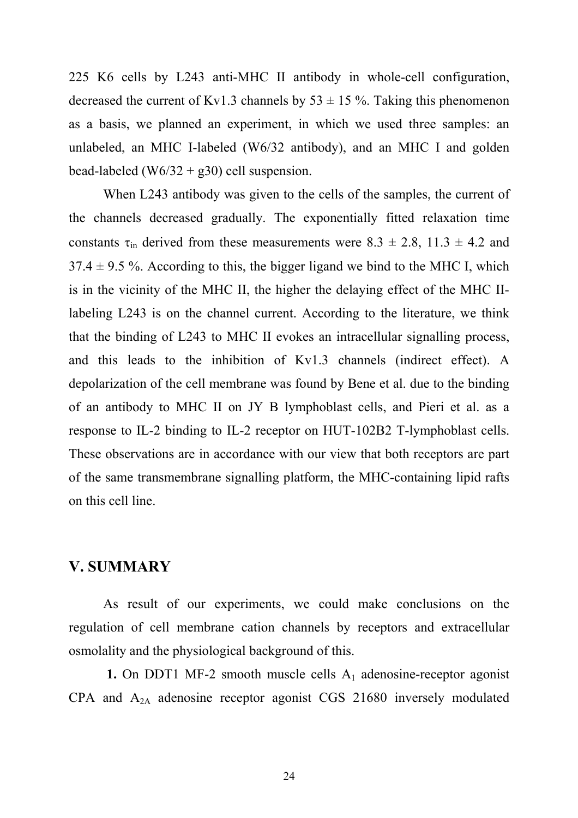225 K6 cells by L243 anti-MHC II antibody in whole-cell configuration, decreased the current of Kv1.3 channels by  $53 \pm 15$ %. Taking this phenomenon as a basis, we planned an experiment, in which we used three samples: an unlabeled, an MHC I-labeled (W6/32 antibody), and an MHC I and golden bead-labeled (W6/32 + g30) cell suspension.

 When L243 antibody was given to the cells of the samples, the current of the channels decreased gradually. The exponentially fitted relaxation time constants  $\tau_{in}$  derived from these measurements were 8.3  $\pm$  2.8, 11.3  $\pm$  4.2 and  $37.4 \pm 9.5$  %. According to this, the bigger ligand we bind to the MHC I, which is in the vicinity of the MHC II, the higher the delaying effect of the MHC IIlabeling L243 is on the channel current. According to the literature, we think that the binding of L243 to MHC II evokes an intracellular signalling process, and this leads to the inhibition of Kv1.3 channels (indirect effect). A depolarization of the cell membrane was found by Bene et al. due to the binding of an antibody to MHC II on JY B lymphoblast cells, and Pieri et al. as a response to IL-2 binding to IL-2 receptor on HUT-102B2 T-lymphoblast cells. These observations are in accordance with our view that both receptors are part of the same transmembrane signalling platform, the MHC-containing lipid rafts on this cell line.

#### **V. SUMMARY**

 As result of our experiments, we could make conclusions on the regulation of cell membrane cation channels by receptors and extracellular osmolality and the physiological background of this.

**1.** On DDT1 MF-2 smooth muscle cells  $A_1$  adenosine-receptor agonist CPA and A2A adenosine receptor agonist CGS 21680 inversely modulated

24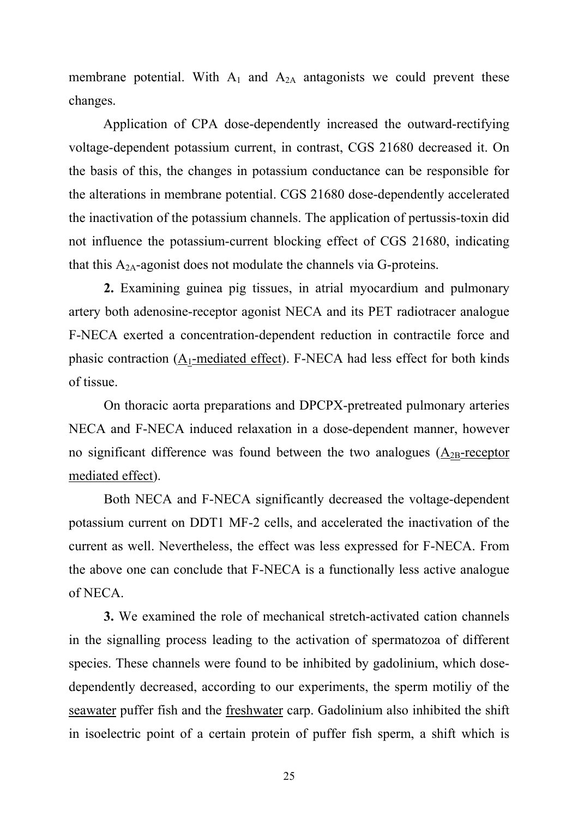membrane potential. With  $A_1$  and  $A_{2A}$  antagonists we could prevent these changes.

 Application of CPA dose-dependently increased the outward-rectifying voltage-dependent potassium current, in contrast, CGS 21680 decreased it. On the basis of this, the changes in potassium conductance can be responsible for the alterations in membrane potential. CGS 21680 dose-dependently accelerated the inactivation of the potassium channels. The application of pertussis-toxin did not influence the potassium-current blocking effect of CGS 21680, indicating that this  $A_{2A}$ -agonist does not modulate the channels via G-proteins.

**2.** Examining guinea pig tissues, in atrial myocardium and pulmonary artery both adenosine-receptor agonist NECA and its PET radiotracer analogue F-NECA exerted a concentration-dependent reduction in contractile force and phasic contraction  $(A_1$ -mediated effect). F-NECA had less effect for both kinds of tissue.

On thoracic aorta preparations and DPCPX-pretreated pulmonary arteries NECA and F-NECA induced relaxation in a dose-dependent manner, however no significant difference was found between the two analogues  $(A_{2B}$ -receptor mediated effect).

Both NECA and F-NECA significantly decreased the voltage-dependent potassium current on DDT1 MF-2 cells, and accelerated the inactivation of the current as well. Nevertheless, the effect was less expressed for F-NECA. From the above one can conclude that F-NECA is a functionally less active analogue of NECA.

**3.** We examined the role of mechanical stretch-activated cation channels in the signalling process leading to the activation of spermatozoa of different species. These channels were found to be inhibited by gadolinium, which dosedependently decreased, according to our experiments, the sperm motiliy of the seawater puffer fish and the freshwater carp. Gadolinium also inhibited the shift in isoelectric point of a certain protein of puffer fish sperm, a shift which is

25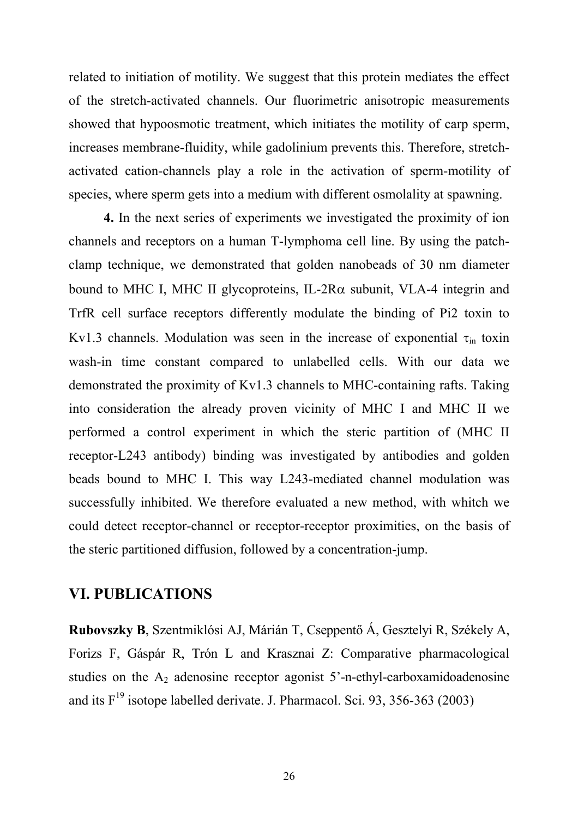related to initiation of motility. We suggest that this protein mediates the effect of the stretch-activated channels. Our fluorimetric anisotropic measurements showed that hypoosmotic treatment, which initiates the motility of carp sperm, increases membrane-fluidity, while gadolinium prevents this. Therefore, stretchactivated cation-channels play a role in the activation of sperm-motility of species, where sperm gets into a medium with different osmolality at spawning.

**4.** In the next series of experiments we investigated the proximity of ion channels and receptors on a human T-lymphoma cell line. By using the patchclamp technique, we demonstrated that golden nanobeads of 30 nm diameter bound to MHC I, MHC II glycoproteins, IL-2R $\alpha$  subunit, VLA-4 integrin and TrfR cell surface receptors differently modulate the binding of Pi2 toxin to Kv1.3 channels. Modulation was seen in the increase of exponential  $\tau_{in}$  toxin wash-in time constant compared to unlabelled cells. With our data we demonstrated the proximity of Kv1.3 channels to MHC-containing rafts. Taking into consideration the already proven vicinity of MHC I and MHC II we performed a control experiment in which the steric partition of (MHC II receptor-L243 antibody) binding was investigated by antibodies and golden beads bound to MHC I. This way L243-mediated channel modulation was successfully inhibited. We therefore evaluated a new method, with whitch we could detect receptor-channel or receptor-receptor proximities, on the basis of the steric partitioned diffusion, followed by a concentration-jump.

## **VI. PUBLICATIONS**

**Rubovszky B**, Szentmiklósi AJ, Márián T, Cseppentő Á, Gesztelyi R, Székely A, Forizs F, Gáspár R, Trón L and Krasznai Z: Comparative pharmacological studies on the  $A_2$  adenosine receptor agonist 5'-n-ethyl-carboxamidoadenosine and its  $F^{19}$  isotope labelled derivate. J. Pharmacol. Sci. 93, 356-363 (2003)